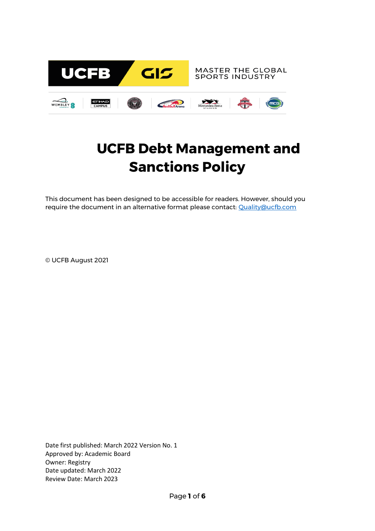

# **UCFB Debt Management and Sanctions Policy**

This document has been designed to be accessible for readers. However, should you require the document in an alternative format please contact: [Quality@ucfb.com](mailto:Quality@ucfb.com)

© UCFB August 2021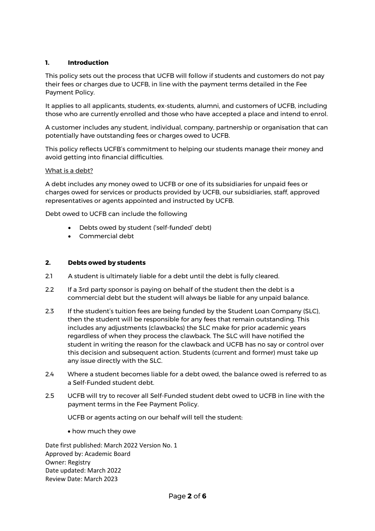## **1. Introduction**

This policy sets out the process that UCFB will follow if students and customers do not pay their fees or charges due to UCFB, in line with the payment terms detailed in the Fee Payment Policy.

It applies to all applicants, students, ex-students, alumni, and customers of UCFB, including those who are currently enrolled and those who have accepted a place and intend to enrol.

A customer includes any student, individual, company, partnership or organisation that can potentially have outstanding fees or charges owed to UCFB.

This policy reflects UCFB's commitment to helping our students manage their money and avoid getting into financial difficulties.

### What is a debt?

A debt includes any money owed to UCFB or one of its subsidiaries for unpaid fees or charges owed for services or products provided by UCFB, our subsidiaries, staff, approved representatives or agents appointed and instructed by UCFB.

Debt owed to UCFB can include the following

- Debts owed by student ('self-funded' debt)
- Commercial debt

#### **2. Debts owed by students**

- 2.1 A student is ultimately liable for a debt until the debt is fully cleared.
- 2.2 If a 3rd party sponsor is paying on behalf of the student then the debt is a commercial debt but the student will always be liable for any unpaid balance.
- 2.3 If the student's tuition fees are being funded by the Student Loan Company (SLC), then the student will be responsible for any fees that remain outstanding. This includes any adjustments (clawbacks) the SLC make for prior academic years regardless of when they process the clawback. The SLC will have notified the student in writing the reason for the clawback and UCFB has no say or control over this decision and subsequent action. Students (current and former) must take up any issue directly with the SLC.
- 2.4 Where a student becomes liable for a debt owed, the balance owed is referred to as a Self-Funded student debt.
- 2.5 UCFB will try to recover all Self-Funded student debt owed to UCFB in line with the payment terms in the Fee Payment Policy.

UCFB or agents acting on our behalf will tell the student:

how much they owe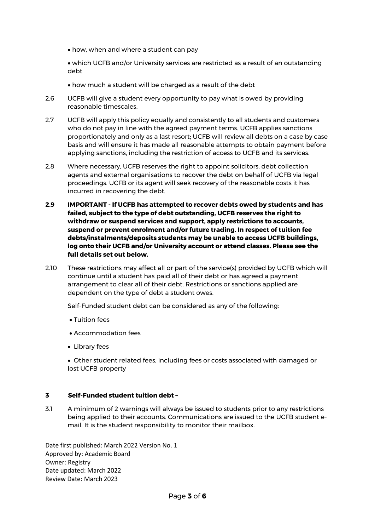- how, when and where a student can pay
- which UCFB and/or University services are restricted as a result of an outstanding debt
- how much a student will be charged as a result of the debt
- 2.6 UCFB will give a student every opportunity to pay what is owed by providing reasonable timescales.
- 2.7 UCFB will apply this policy equally and consistently to all students and customers who do not pay in line with the agreed payment terms. UCFB applies sanctions proportionately and only as a last resort; UCFB will review all debts on a case by case basis and will ensure it has made all reasonable attempts to obtain payment before applying sanctions, including the restriction of access to UCFB and its services.
- 2.8 Where necessary, UCFB reserves the right to appoint solicitors, debt collection agents and external organisations to recover the debt on behalf of UCFB via legal proceedings. UCFB or its agent will seek recovery of the reasonable costs it has incurred in recovering the debt.
- **2.9 IMPORTANT - If UCFB has attempted to recover debts owed by students and has failed, subject to the type of debt outstanding, UCFB reserves the right to withdraw or suspend services and support, apply restrictions to accounts, suspend or prevent enrolment and/or future trading. In respect of tuition fee debts/instalments/deposits students may be unable to access UCFB buildings, log onto their UCFB and/or University account or attend classes. Please see the full details set out below.**
- 2.10 These restrictions may affect all or part of the service(s) provided by UCFB which will continue until a student has paid all of their debt or has agreed a payment arrangement to clear all of their debt. Restrictions or sanctions applied are dependent on the type of debt a student owes.

Self-Funded student debt can be considered as any of the following:

- Tuition fees
- Accommodation fees
- Library fees
- Other student related fees, including fees or costs associated with damaged or lost UCFB property

#### **3 Self-Funded student tuition debt –**

3.1 A minimum of 2 warnings will always be issued to students prior to any restrictions being applied to their accounts. Communications are issued to the UCFB student email. It is the student responsibility to monitor their mailbox.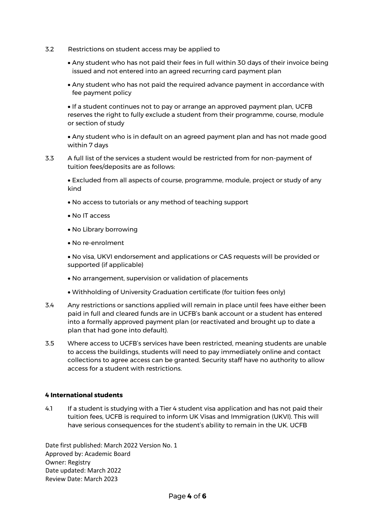- 3.2 Restrictions on student access may be applied to
	- Any student who has not paid their fees in full within 30 days of their invoice being issued and not entered into an agreed recurring card payment plan
	- Any student who has not paid the required advance payment in accordance with fee payment policy

 If a student continues not to pay or arrange an approved payment plan, UCFB reserves the right to fully exclude a student from their programme, course, module or section of study

 Any student who is in default on an agreed payment plan and has not made good within 7 days

3.3 A full list of the services a student would be restricted from for non-payment of tuition fees/deposits are as follows:

 Excluded from all aspects of course, programme, module, project or study of any kind

- No access to tutorials or any method of teaching support
- No IT access
- No Library borrowing
- No re-enrolment

 No visa, UKVI endorsement and applications or CAS requests will be provided or supported (if applicable)

- No arrangement, supervision or validation of placements
- Withholding of University Graduation certificate (for tuition fees only)
- 3.4 Any restrictions or sanctions applied will remain in place until fees have either been paid in full and cleared funds are in UCFB's bank account or a student has entered into a formally approved payment plan (or reactivated and brought up to date a plan that had gone into default).
- 3.5 Where access to UCFB's services have been restricted, meaning students are unable to access the buildings, students will need to pay immediately online and contact collections to agree access can be granted. Security staff have no authority to allow access for a student with restrictions.

## **4 International students**

4.1 If a student is studying with a Tier 4 student visa application and has not paid their tuition fees, UCFB is required to inform UK Visas and Immigration (UKVI). This will have serious consequences for the student's ability to remain in the UK. UCFB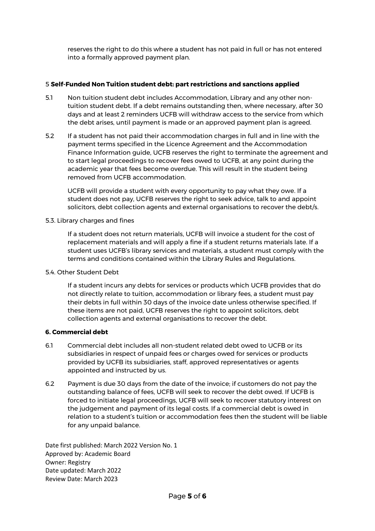reserves the right to do this where a student has not paid in full or has not entered into a formally approved payment plan.

## 5 **Self-Funded Non Tuition student debt: part restrictions and sanctions applied**

- 5.1 Non tuition student debt includes Accommodation, Library and any other nontuition student debt. If a debt remains outstanding then, where necessary, after 30 days and at least 2 reminders UCFB will withdraw access to the service from which the debt arises, until payment is made or an approved payment plan is agreed.
- 5.2 If a student has not paid their accommodation charges in full and in line with the payment terms specified in the Licence Agreement and the Accommodation Finance Information guide, UCFB reserves the right to terminate the agreement and to start legal proceedings to recover fees owed to UCFB, at any point during the academic year that fees become overdue. This will result in the student being removed from UCFB accommodation.

UCFB will provide a student with every opportunity to pay what they owe. If a student does not pay, UCFB reserves the right to seek advice, talk to and appoint solicitors, debt collection agents and external organisations to recover the debt/s.

#### 5.3. Library charges and fines

If a student does not return materials, UCFB will invoice a student for the cost of replacement materials and will apply a fine if a student returns materials late. If a student uses UCFB's library services and materials, a student must comply with the terms and conditions contained within the Library Rules and Regulations.

## 5.4. Other Student Debt

If a student incurs any debts for services or products which UCFB provides that do not directly relate to tuition, accommodation or library fees, a student must pay their debts in full within 30 days of the invoice date unless otherwise specified. If these items are not paid, UCFB reserves the right to appoint solicitors, debt collection agents and external organisations to recover the debt.

# **6. Commercial debt**

- 6.1 Commercial debt includes all non-student related debt owed to UCFB or its subsidiaries in respect of unpaid fees or charges owed for services or products provided by UCFB its subsidiaries, staff, approved representatives or agents appointed and instructed by us.
- 6.2 Payment is due 30 days from the date of the invoice; if customers do not pay the outstanding balance of fees, UCFB will seek to recover the debt owed. If UCFB is forced to initiate legal proceedings, UCFB will seek to recover statutory interest on the judgement and payment of its legal costs. If a commercial debt is owed in relation to a student's tuition or accommodation fees then the student will be liable for any unpaid balance.